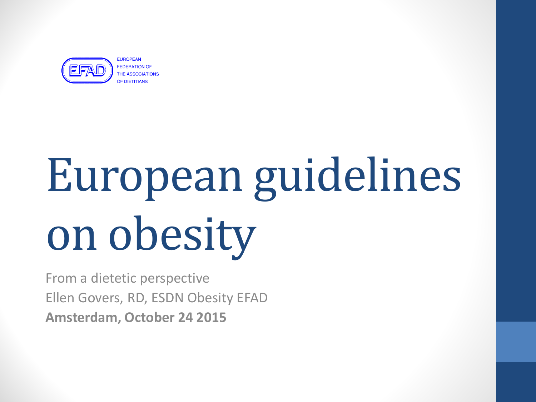

**FEDERATION OF HE ASSOCIATIONS** 

# European guidelines on obesity

From a dietetic perspective Ellen Govers, RD, ESDN Obesity EFAD **Amsterdam, October 24 2015**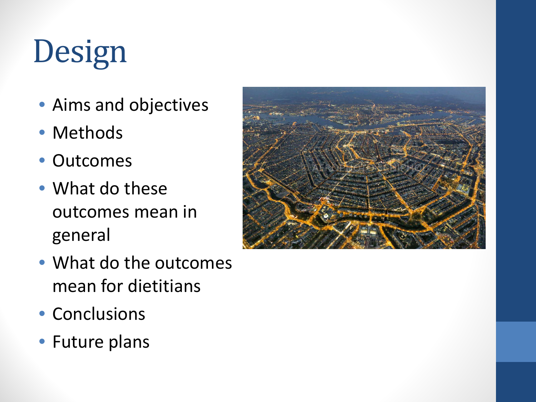# Design

- Aims and objectives
- Methods
- Outcomes
- What do these outcomes mean in general
- What do the outcomes mean for dietitians
- Conclusions
- Future plans

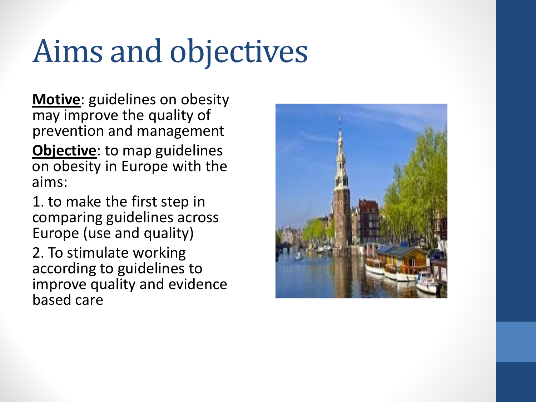# Aims and objectives

**Motive**: guidelines on obesity may improve the quality of prevention and management

**Objective**: to map guidelines on obesity in Europe with the aims:

1. to make the first step in comparing guidelines across Europe (use and quality)

2. To stimulate working according to guidelines to improve quality and evidence based care

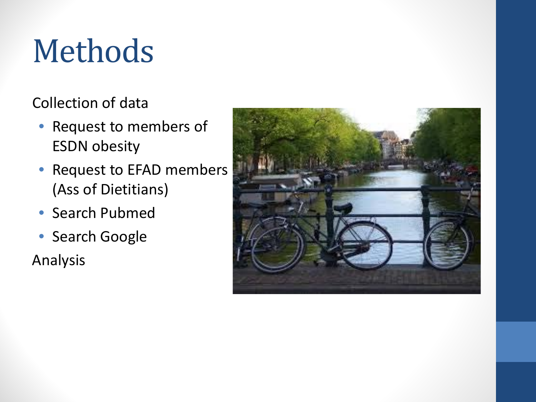# Methods

#### Collection of data

- Request to members of ESDN obesity
- Request to EFAD members (Ass of Dietitians)
- Search Pubmed
- Search Google

Analysis

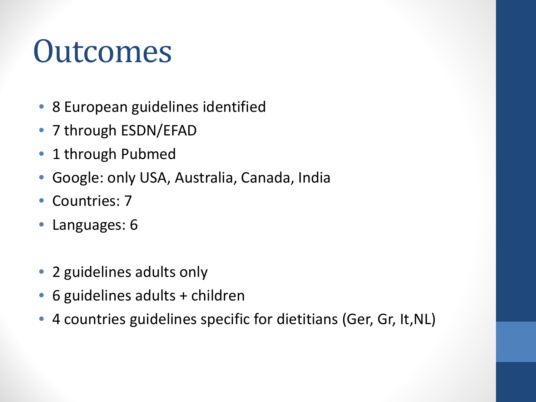### **Outcomes**

- 8 European guidelines identified
- 7 through ESDN/EFAD
- 1 through Pubmed
- Google: only USA, Australia, Canada, India
- Countries: 7
- Languages: 6
- 2 guidelines adults only
- 6 guidelines adults + children
- 4 countries guidelines specific for dietitians (Ger, Gr, It,NL)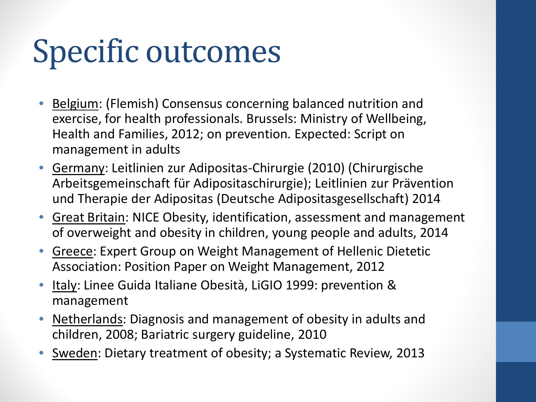# Specific outcomes

- Belgium: (Flemish) Consensus concerning balanced nutrition and exercise, for health professionals. Brussels: Ministry of Wellbeing, Health and Families, 2012; on prevention. Expected: Script on management in adults
- Germany: Leitlinien zur Adipositas-Chirurgie (2010) (Chirurgische Arbeitsgemeinschaft für Adipositaschirurgie); Leitlinien zur Prävention und Therapie der Adipositas (Deutsche Adipositasgesellschaft) 2014
- Great Britain: NICE Obesity, identification, assessment and management of overweight and obesity in children, young people and adults, 2014
- Greece: Expert Group on Weight Management of Hellenic Dietetic Association: Position Paper on Weight Management, 2012
- Italy: Linee Guida Italiane Obesità, LiGIO 1999: prevention & management
- Netherlands: Diagnosis and management of obesity in adults and children, 2008; Bariatric surgery guideline, 2010
- Sweden: Dietary treatment of obesity; a Systematic Review, 2013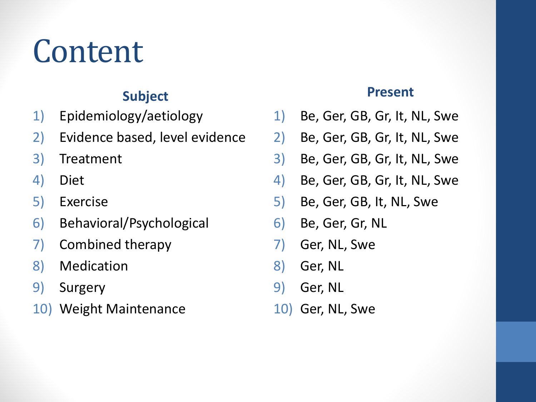## Content

#### **Subject**

- 1) Epidemiology/aetiology
- 2) Evidence based, level evidence
- 3) Treatment
- 4) Diet
- 5) Exercise
- 6) Behavioral/Psychological
- 7) Combined therapy
- 8) Medication
- 9) Surgery
- 10) Weight Maintenance

#### **Present**

- 1) Be, Ger, GB, Gr, It, NL, Swe
- 2) Be, Ger, GB, Gr, It, NL, Swe
- 3) Be, Ger, GB, Gr, It, NL, Swe
- 4) Be, Ger, GB, Gr, It, NL, Swe
- 5) Be, Ger, GB, It, NL, Swe
- 6) Be, Ger, Gr, NL
- 7) Ger, NL, Swe
- 8) Ger, NL
- 9) Ger, NL
- 10) Ger, NL, Swe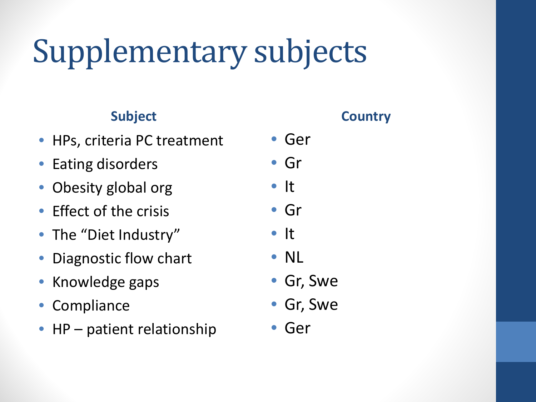# Supplementary subjects

#### **Subject**

- HPs, criteria PC treatment
- Eating disorders
- Obesity global org
- Effect of the crisis
- The "Diet Industry"
- Diagnostic flow chart
- Knowledge gaps
- Compliance
- HP patient relationship

- Ger
- Gr
- It
- Gr
- It
- NL
- Gr, Swe
- Gr, Swe
- Ger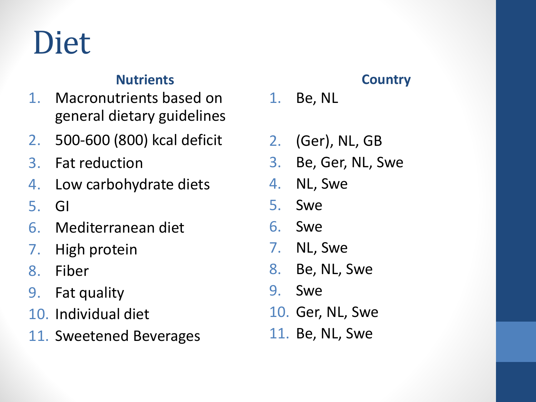### Diet

#### **Nutrients**

- 1. Macronutrients based on general dietary guidelines
- 2. 500-600 (800) kcal deficit
- 3. Fat reduction
- 4. Low carbohydrate diets
- 5. GI
- 6. Mediterranean diet
- 7. High protein
- 8. Fiber
- 9. Fat quality
- 10. Individual diet
- 11. Sweetened Beverages

- 1. Be, NL
- 2. (Ger), NL, GB
- 3. Be, Ger, NL, Swe
- 4. NL, Swe
- 5. Swe
- 6. Swe
- 7. NL, Swe
- 8. Be, NL, Swe
- 9. Swe
- 10. Ger, NL, Swe
- 11. Be, NL, Swe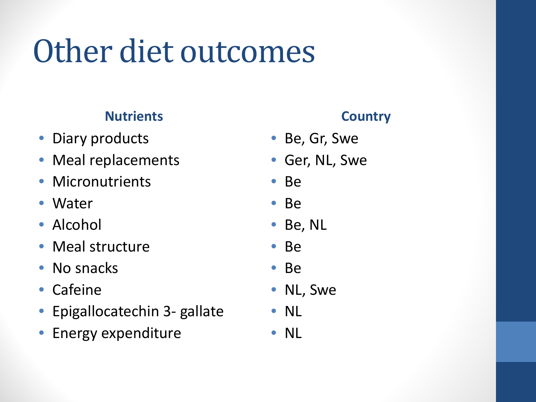# Other diet outcomes

#### **Nutrients**

- Diary products
- Meal replacements
- Micronutrients
- Water
- Alcohol
- Meal structure
- No snacks
- Cafeine
- Epigallocatechin 3- gallate
- Energy expenditure

- Be, Gr, Swe
- Ger, NL, Swe
- Be
- Be
- Be, NL
- Be
- Be
- NL, Swe
- NL
- NL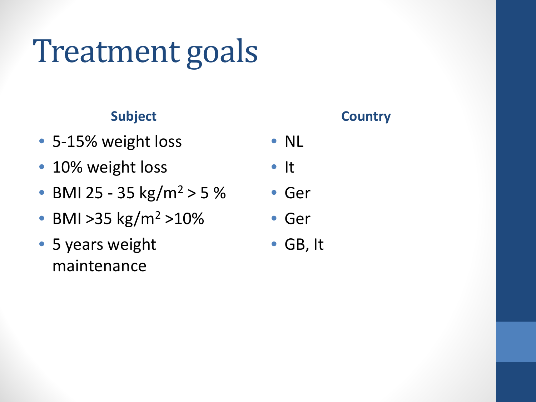# Treatment goals

#### **Subject**

- 5-15% weight loss
- 10% weight loss
- BMI 25 35 kg/m<sup>2</sup> > 5 %
- BMI > 35 kg/m<sup>2</sup> > 10%
- 5 years weight maintenance

- NL
- It
- Ger
- Ger
- GB, It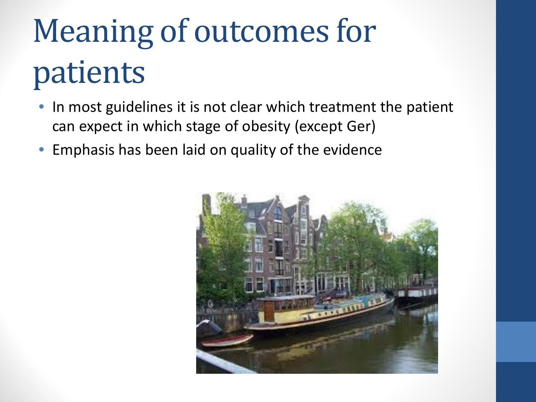# Meaning of outcomes for patients

- In most guidelines it is not clear which treatment the patient can expect in which stage of obesity (except Ger)
- Emphasis has been laid on quality of the evidence

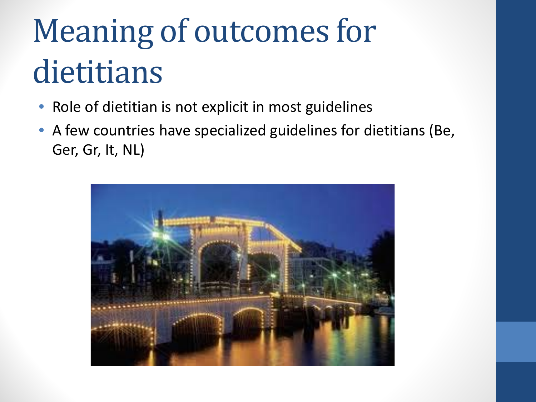# Meaning of outcomes for dietitians

- Role of dietitian is not explicit in most guidelines
- A few countries have specialized guidelines for dietitians (Be, Ger, Gr, It, NL)

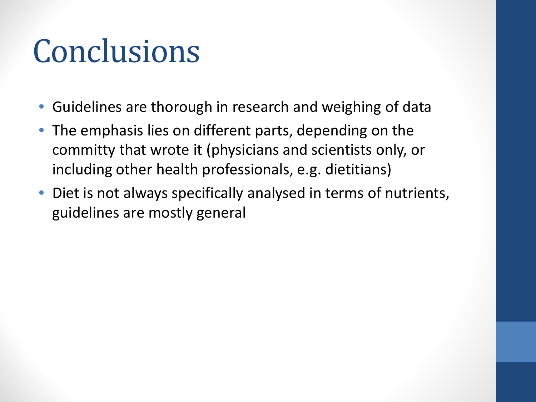## Conclusions

- Guidelines are thorough in research and weighing of data
- The emphasis lies on different parts, depending on the committy that wrote it (physicians and scientists only, or including other health professionals, e.g. dietitians)
- Diet is not always specifically analysed in terms of nutrients, guidelines are mostly general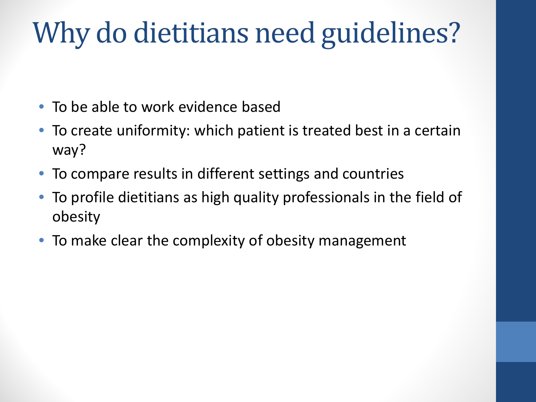### Why do dietitians need guidelines?

- To be able to work evidence based
- To create uniformity: which patient is treated best in a certain way?
- To compare results in different settings and countries
- To profile dietitians as high quality professionals in the field of obesity
- To make clear the complexity of obesity management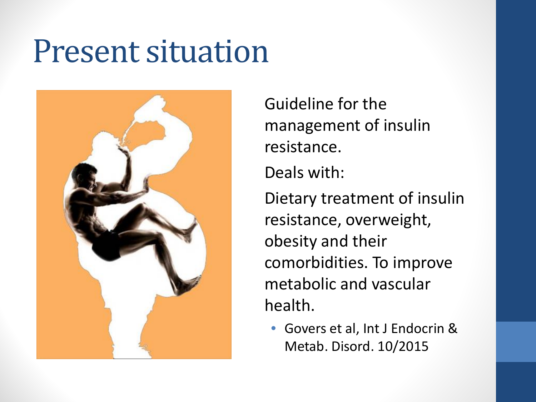### Present situation



Guideline for the management of insulin resistance. Deals with: Dietary treatment of insulin resistance, overweight, obesity and their comorbidities. To improve metabolic and vascular health.

• Govers et al, Int J Endocrin & Metab. Disord. 10/2015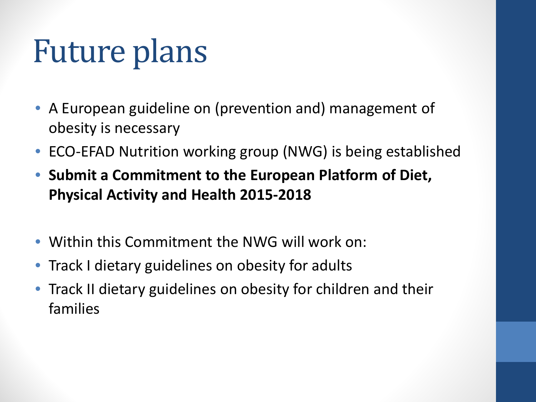# Future plans

- A European guideline on (prevention and) management of obesity is necessary
- ECO-EFAD Nutrition working group (NWG) is being established
- **Submit a Commitment to the European Platform of Diet, Physical Activity and Health 2015-2018**
- Within this Commitment the NWG will work on:
- Track I dietary guidelines on obesity for adults
- Track II dietary guidelines on obesity for children and their families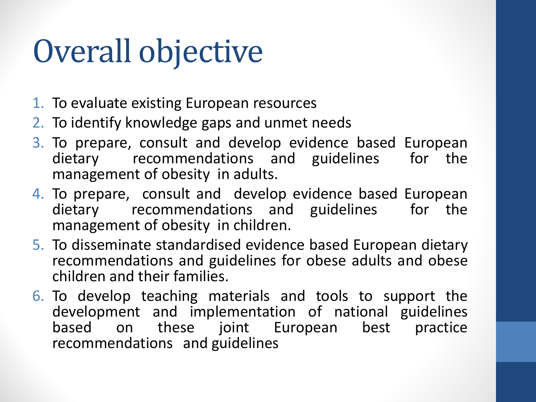# Overall objective

- 1. To evaluate existing European resources
- 2. To identify knowledge gaps and unmet needs
- 3. To prepare, consult and develop evidence based European dietary recommendations and guidelines for the management of obesity in adults.
- 4. To prepare, consult and develop evidence based European dietary recommendations and guidelines for the management of obesity in children.
- 5. To disseminate standardised evidence based European dietary recommendations and guidelines for obese adults and obese children and their families.
- 6. To develop teaching materials and tools to support the development and implementation of national guidelines based on these joint European best practice recommendations and guidelines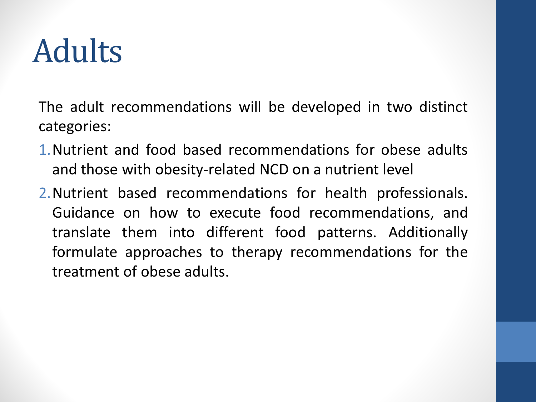# Adults

The adult recommendations will be developed in two distinct categories:

- 1.Nutrient and food based recommendations for obese adults and those with obesity-related NCD on a nutrient level
- 2.Nutrient based recommendations for health professionals. Guidance on how to execute food recommendations, and translate them into different food patterns. Additionally formulate approaches to therapy recommendations for the treatment of obese adults.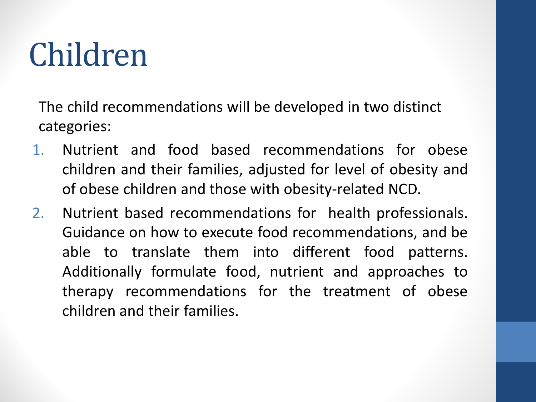# Children

The child recommendations will be developed in two distinct categories:

- 1. Nutrient and food based recommendations for obese children and their families, adjusted for level of obesity and of obese children and those with obesity-related NCD.
- 2. Nutrient based recommendations for health professionals. Guidance on how to execute food recommendations, and be able to translate them into different food patterns. Additionally formulate food, nutrient and approaches to therapy recommendations for the treatment of obese children and their families.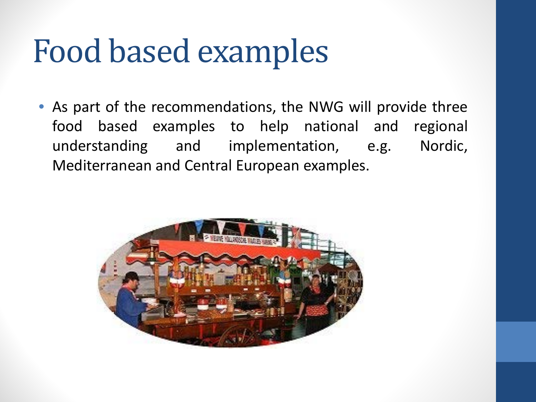### Food based examples

• As part of the recommendations, the NWG will provide three food based examples to help national and regional understanding and implementation, e.g. Nordic, Mediterranean and Central European examples.

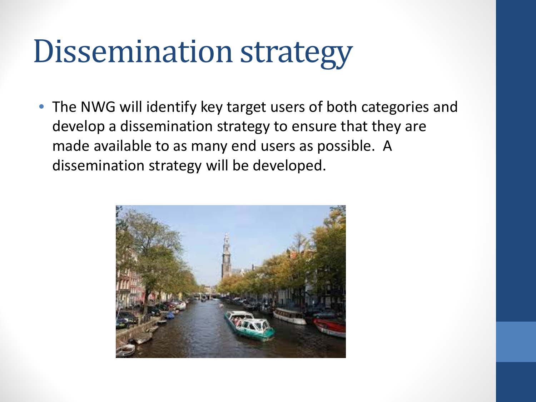### Dissemination strategy

• The NWG will identify key target users of both categories and develop a dissemination strategy to ensure that they are made available to as many end users as possible. A dissemination strategy will be developed.